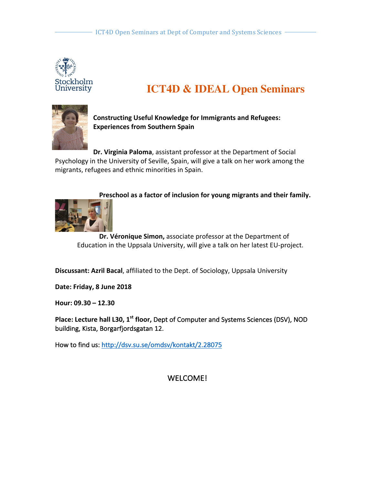

# **ICT4D & IDEAL Open Seminars**



**Constructing Useful Knowledge for Immigrants and Refugees: Experiences from Southern Spain**

**Dr. Virginia Paloma**, assistant professor at the Department of Social Psychology in the University of Seville, Spain, will give a talk on her work among the migrants, refugees and ethnic minorities in Spain.

## Preschool as a factor of inclusion for young migrants and their family.



**Dr. Véronique Simon, associate professor at the Department of** Education in the Uppsala University, will give a talk on her latest EU-project.

**Discussant: Azril Bacal**, affiliated to the Dept. of Sociology, Uppsala University

**Date: Friday, 8 June 2018**

**Hour: 09.30 – 12.30**

**Place: Lecture hall L30, 1<sup>st</sup> floor,** Dept of Computer and Systems Sciences (DSV), NOD building, Kista, Borgarfjordsgatan 12.

How to find us: http://dsv.su.se/omdsv/kontakt/2.28075

## WELCOME!